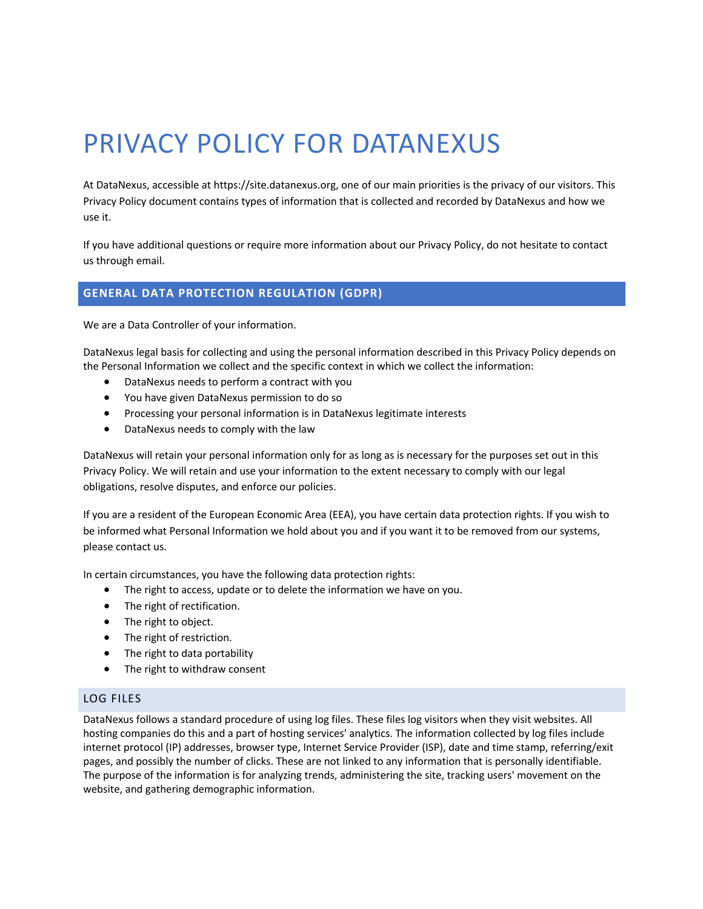# PRIVACY POLICY FOR DATANEXUS

At DataNexus, accessible at https://site.datanexus.org, one of our main priorities is the privacy of our visitors. This Privacy Policy document contains types of information that is collected and recorded by DataNexus and how we use it.

If you have additional questions or require more information about our Privacy Policy, do not hesitate to contact us through email.

## **GENERAL DATA PROTECTION REGULATION (GDPR)**

We are a Data Controller of your information.

DataNexus legal basis for collecting and using the personal information described in this Privacy Policy depends on the Personal Information we collect and the specific context in which we collect the information:

- DataNexus needs to perform a contract with you
- You have given DataNexus permission to do so
- Processing your personal information is in DataNexus legitimate interests
- DataNexus needs to comply with the law

DataNexus will retain your personal information only for as long as is necessary for the purposes set out in this Privacy Policy. We will retain and use your information to the extent necessary to comply with our legal obligations, resolve disputes, and enforce our policies.

If you are a resident of the European Economic Area (EEA), you have certain data protection rights. If you wish to be informed what Personal Information we hold about you and if you want it to be removed from our systems, please contact us.

In certain circumstances, you have the following data protection rights:

- The right to access, update or to delete the information we have on you.
- The right of rectification.
- The right to object.
- The right of restriction.
- The right to data portability
- The right to withdraw consent

#### LOG FILES

DataNexus follows a standard procedure of using log files. These files log visitors when they visit websites. All hosting companies do this and a part of hosting services' analytics. The information collected by log files include internet protocol (IP) addresses, browser type, Internet Service Provider (ISP), date and time stamp, referring/exit pages, and possibly the number of clicks. These are not linked to any information that is personally identifiable. The purpose of the information is for analyzing trends, administering the site, tracking users' movement on the website, and gathering demographic information.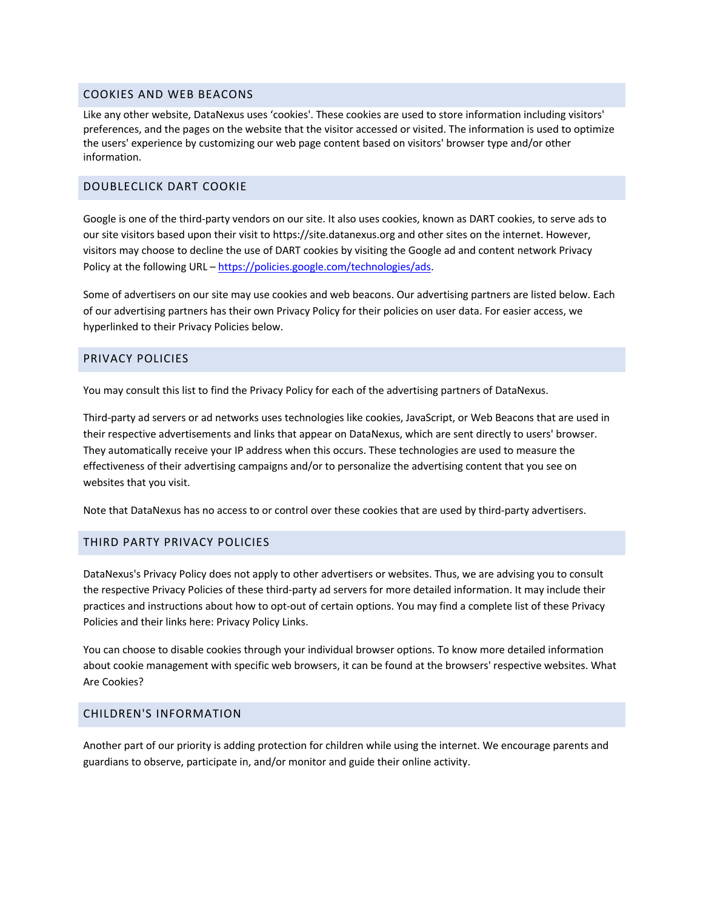### COOKIES AND WEB BEACONS

Like any other website, DataNexus uses 'cookies'. These cookies are used to store information including visitors' preferences, and the pages on the website that the visitor accessed or visited. The information is used to optimize the users' experience by customizing our web page content based on visitors' browser type and/or other information.

### DOUBLECLICK DART COOKIE

Google is one of the third-party vendors on our site. It also uses cookies, known as DART cookies, to serve ads to our site visitors based upon their visit to https://site.datanexus.org and other sites on the internet. However, visitors may choose to decline the use of DART cookies by visiting the Google ad and content network Privacy Policy at the following URL – https://policies.google.com/technologies/ads.

Some of advertisers on our site may use cookies and web beacons. Our advertising partners are listed below. Each of our advertising partners has their own Privacy Policy for their policies on user data. For easier access, we hyperlinked to their Privacy Policies below.

### PRIVACY POLICIES

You may consult this list to find the Privacy Policy for each of the advertising partners of DataNexus.

Third-party ad servers or ad networks uses technologies like cookies, JavaScript, or Web Beacons that are used in their respective advertisements and links that appear on DataNexus, which are sent directly to users' browser. They automatically receive your IP address when this occurs. These technologies are used to measure the effectiveness of their advertising campaigns and/or to personalize the advertising content that you see on websites that you visit.

Note that DataNexus has no access to or control over these cookies that are used by third-party advertisers.

## THIRD PARTY PRIVACY POLICIES

DataNexus's Privacy Policy does not apply to other advertisers or websites. Thus, we are advising you to consult the respective Privacy Policies of these third-party ad servers for more detailed information. It may include their practices and instructions about how to opt-out of certain options. You may find a complete list of these Privacy Policies and their links here: Privacy Policy Links.

You can choose to disable cookies through your individual browser options. To know more detailed information about cookie management with specific web browsers, it can be found at the browsers' respective websites. What Are Cookies?

## CHILDREN'S INFORMATION

Another part of our priority is adding protection for children while using the internet. We encourage parents and guardians to observe, participate in, and/or monitor and guide their online activity.